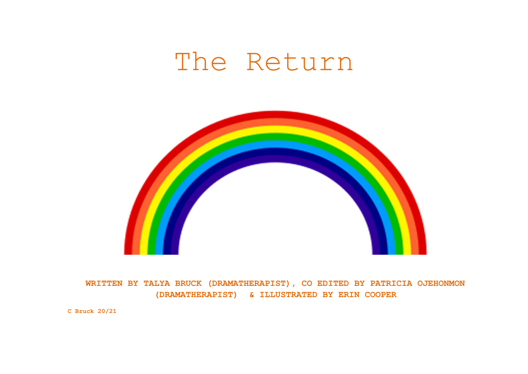## The Return



WRITTEN BY TALYA BRUCK (DRAMATHERAPIST), CO EDITED BY PATRICIA OJEHONMON (DRAMATHERAPIST) & ILLUSTRATED BY ERIN COOPER

C Bruck 20/21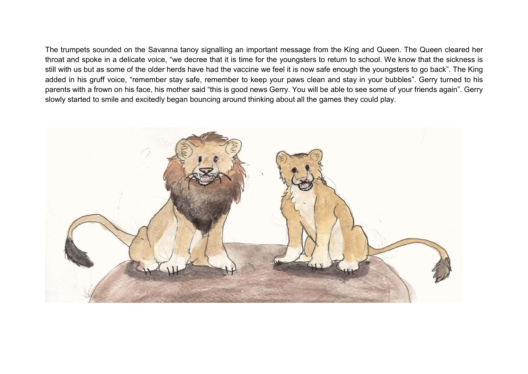The trumpets sounded on the Savanna tanoy signalling an important message from the King and Queen. The Queen cleared her throat and spoke in a delicate voice, "we decree that it is time for the youngsters to return to school. We know that the sickness is still with us but as some of the older herds have had the vaccine we feel it is now safe enough the youngsters to go back". The King added in his gruff voice, "remember stay safe, remember to keep your paws clean and stay in your bubbles". Gerry turned to his parents with a frown on his face, his mother said "this is good news Gerry. You will be able to see some of your friends again". Gerry slowly started to smile and excitedly began bouncing around thinking about all the games they could play.

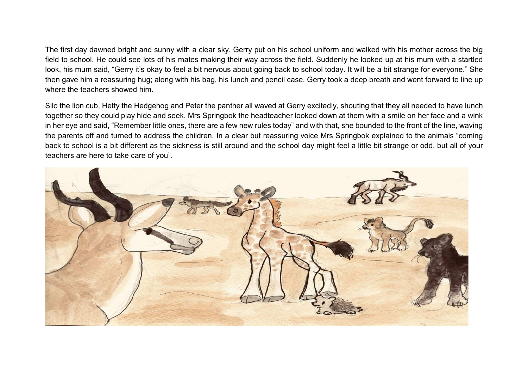The first day dawned bright and sunny with a clear sky. Gerry put on his school uniform and walked with his mother across the big field to school. He could see lots of his mates making their way across the field. Suddenly he looked up at his mum with a startled look, his mum said, "Gerry it's okay to feel a bit nervous about going back to school today. It will be a bit strange for everyone." She then gave him a reassuring hug; along with his bag, his lunch and pencil case. Gerry took a deep breath and went forward to line up where the teachers showed him.

Silo the lion cub, Hetty the Hedgehog and Peter the panther all waved at Gerry excitedly, shouting that they all needed to have lunch together so they could play hide and seek. Mrs Springbok the headteacher looked down at them with a smile on her face and a wink in her eye and said, "Remember little ones, there are a few new rules today" and with that, she bounded to the front of the line, waving the parents off and turned to address the children. In a clear but reassuring voice Mrs Springbok explained to the animals "coming back to school is a bit different as the sickness is still around and the school day might feel a little bit strange or odd, but all of your teachers are here to take care of you".

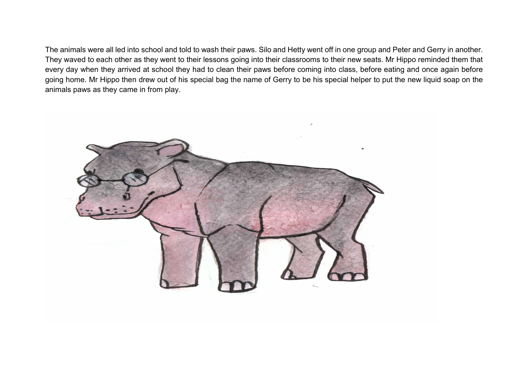The animals were all led into school and told to wash their paws. Silo and Hetty went off in one group and Peter and Gerry in another. They waved to each other as they went to their lessons going into their classrooms to their new seats. Mr Hippo reminded them that every day when they arrived at school they had to clean their paws before coming into class, before eating and once again before going home. Mr Hippo then drew out of his special bag the name of Gerry to be his special helper to put the new liquid soap on the animals paws as they came in from play.

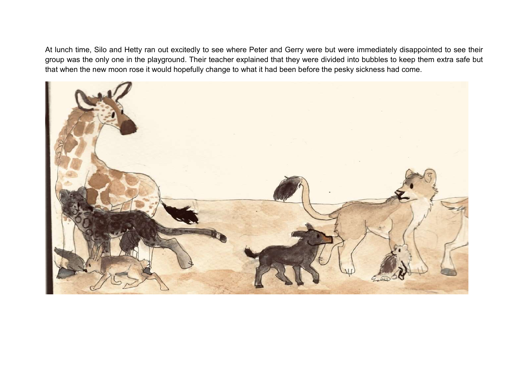At lunch time, Silo and Hetty ran out excitedly to see where Peter and Gerry were but were immediately disappointed to see their group was the only one in the playground. Their teacher explained that they were divided into bubbles to keep them extra safe but that when the new moon rose it would hopefully change to what it had been before the pesky sickness had come.